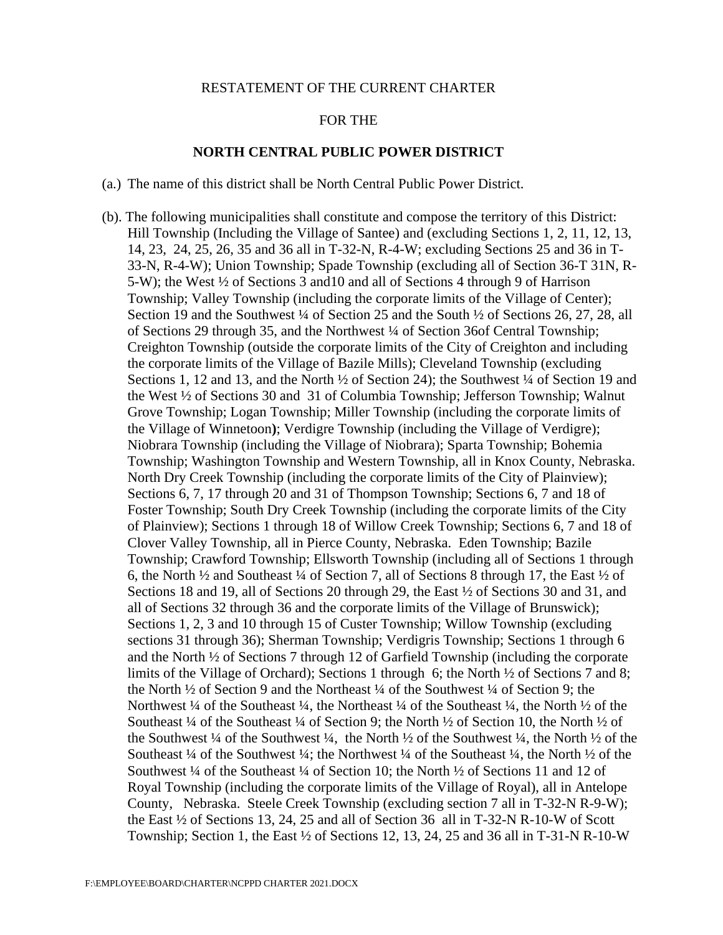## RESTATEMENT OF THE CURRENT CHARTER

## FOR THE

## **NORTH CENTRAL PUBLIC POWER DISTRICT**

- (a.) The name of this district shall be North Central Public Power District.
- (b). The following municipalities shall constitute and compose the territory of this District: Hill Township (Including the Village of Santee) and (excluding Sections 1, 2, 11, 12, 13, 14, 23, 24, 25, 26, 35 and 36 all in T-32-N, R-4-W; excluding Sections 25 and 36 in T-33-N, R-4-W); Union Township; Spade Township (excluding all of Section 36-T 31N, R-5-W); the West ½ of Sections 3 and10 and all of Sections 4 through 9 of Harrison Township; Valley Township (including the corporate limits of the Village of Center); Section 19 and the Southwest ¼ of Section 25 and the South ¼ of Sections 26, 27, 28, all of Sections 29 through 35, and the Northwest ¼ of Section 36of Central Township; Creighton Township (outside the corporate limits of the City of Creighton and including the corporate limits of the Village of Bazile Mills); Cleveland Township (excluding Sections 1, 12 and 13, and the North  $\frac{1}{2}$  of Section 24); the Southwest  $\frac{1}{4}$  of Section 19 and the West ½ of Sections 30 and 31 of Columbia Township; Jefferson Township; Walnut Grove Township; Logan Township; Miller Township (including the corporate limits of the Village of Winnetoon**)**; Verdigre Township (including the Village of Verdigre); Niobrara Township (including the Village of Niobrara); Sparta Township; Bohemia Township; Washington Township and Western Township, all in Knox County, Nebraska. North Dry Creek Township (including the corporate limits of the City of Plainview); Sections 6, 7, 17 through 20 and 31 of Thompson Township; Sections 6, 7 and 18 of Foster Township; South Dry Creek Township (including the corporate limits of the City of Plainview); Sections 1 through 18 of Willow Creek Township; Sections 6, 7 and 18 of Clover Valley Township, all in Pierce County, Nebraska. Eden Township; Bazile Township; Crawford Township; Ellsworth Township (including all of Sections 1 through 6, the North ½ and Southeast ¼ of Section 7, all of Sections 8 through 17, the East ½ of Sections 18 and 19, all of Sections 20 through 29, the East ½ of Sections 30 and 31, and all of Sections 32 through 36 and the corporate limits of the Village of Brunswick); Sections 1, 2, 3 and 10 through 15 of Custer Township; Willow Township (excluding sections 31 through 36); Sherman Township; Verdigris Township; Sections 1 through 6 and the North ½ of Sections 7 through 12 of Garfield Township (including the corporate limits of the Village of Orchard); Sections 1 through 6; the North ½ of Sections 7 and 8; the North ½ of Section 9 and the Northeast ¼ of the Southwest ¼ of Section 9; the Northwest  $\frac{1}{4}$  of the Southeast  $\frac{1}{4}$ , the Northeast  $\frac{1}{4}$  of the Southeast  $\frac{1}{4}$ , the North  $\frac{1}{2}$  of the Southeast ¼ of the Southeast ¼ of Section 9; the North  $\frac{1}{2}$  of Section 10, the North ½ of the Southwest ¼ of the Southwest ¼, the North ½ of the Southwest ¼, the North ½ of the Southeast  $\frac{1}{4}$  of the Southwest  $\frac{1}{4}$ ; the Northwest  $\frac{1}{4}$  of the Southeast  $\frac{1}{4}$ , the North  $\frac{1}{2}$  of the Southwest  $\frac{1}{4}$  of the Southeast  $\frac{1}{4}$  of Section 10; the North  $\frac{1}{2}$  of Sections 11 and 12 of Royal Township (including the corporate limits of the Village of Royal), all in Antelope County, Nebraska. Steele Creek Township (excluding section 7 all in T-32-N R-9-W); the East  $\frac{1}{2}$  of Sections 13, 24, 25 and all of Section 36 all in T-32-N R-10-W of Scott Township; Section 1, the East ½ of Sections 12, 13, 24, 25 and 36 all in T-31-N R-10-W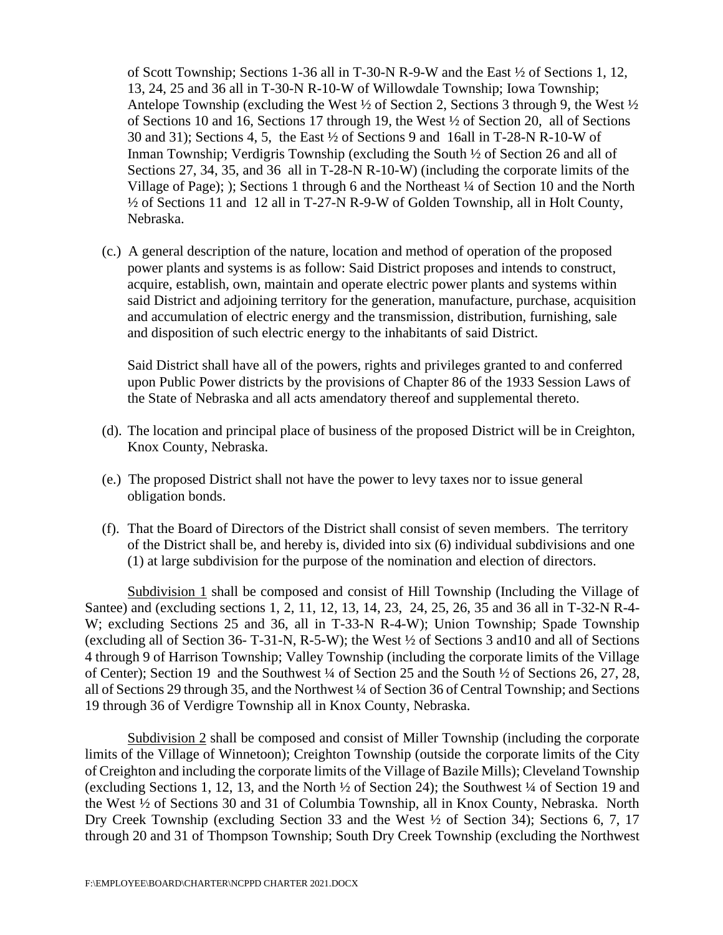of Scott Township; Sections 1-36 all in T-30-N R-9-W and the East ½ of Sections 1, 12, 13, 24, 25 and 36 all in T-30-N R-10-W of Willowdale Township; Iowa Township; Antelope Township (excluding the West  $\frac{1}{2}$  of Section 2, Sections 3 through 9, the West  $\frac{1}{2}$ of Sections 10 and 16, Sections 17 through 19, the West ½ of Section 20, all of Sections 30 and 31); Sections 4, 5, the East  $\frac{1}{2}$  of Sections 9 and 16all in T-28-N R-10-W of Inman Township; Verdigris Township (excluding the South ½ of Section 26 and all of Sections 27, 34, 35, and 36 all in T-28-N R-10-W) (including the corporate limits of the Village of Page); ); Sections 1 through 6 and the Northeast ¼ of Section 10 and the North ½ of Sections 11 and 12 all in T-27-N R-9-W of Golden Township, all in Holt County, Nebraska.

(c.) A general description of the nature, location and method of operation of the proposed power plants and systems is as follow: Said District proposes and intends to construct, acquire, establish, own, maintain and operate electric power plants and systems within said District and adjoining territory for the generation, manufacture, purchase, acquisition and accumulation of electric energy and the transmission, distribution, furnishing, sale and disposition of such electric energy to the inhabitants of said District.

Said District shall have all of the powers, rights and privileges granted to and conferred upon Public Power districts by the provisions of Chapter 86 of the 1933 Session Laws of the State of Nebraska and all acts amendatory thereof and supplemental thereto.

- (d). The location and principal place of business of the proposed District will be in Creighton, Knox County, Nebraska.
- (e.) The proposed District shall not have the power to levy taxes nor to issue general obligation bonds.
- (f). That the Board of Directors of the District shall consist of seven members. The territory of the District shall be, and hereby is, divided into six (6) individual subdivisions and one (1) at large subdivision for the purpose of the nomination and election of directors.

Subdivision 1 shall be composed and consist of Hill Township (Including the Village of Santee) and (excluding sections 1, 2, 11, 12, 13, 14, 23, 24, 25, 26, 35 and 36 all in T-32-N R-4- W; excluding Sections 25 and 36, all in T-33-N R-4-W); Union Township; Spade Township (excluding all of Section 36- T-31-N, R-5-W); the West ½ of Sections 3 and10 and all of Sections 4 through 9 of Harrison Township; Valley Township (including the corporate limits of the Village of Center); Section 19 and the Southwest ¼ of Section 25 and the South ½ of Sections 26, 27, 28, all of Sections 29 through 35, and the Northwest ¼ of Section 36 of Central Township; and Sections 19 through 36 of Verdigre Township all in Knox County, Nebraska.

Subdivision 2 shall be composed and consist of Miller Township (including the corporate limits of the Village of Winnetoon); Creighton Township (outside the corporate limits of the City of Creighton and including the corporate limits of the Village of Bazile Mills); Cleveland Township (excluding Sections 1, 12, 13, and the North ½ of Section 24); the Southwest ¼ of Section 19 and the West ½ of Sections 30 and 31 of Columbia Township, all in Knox County, Nebraska. North Dry Creek Township (excluding Section 33 and the West ½ of Section 34); Sections 6, 7, 17 through 20 and 31 of Thompson Township; South Dry Creek Township (excluding the Northwest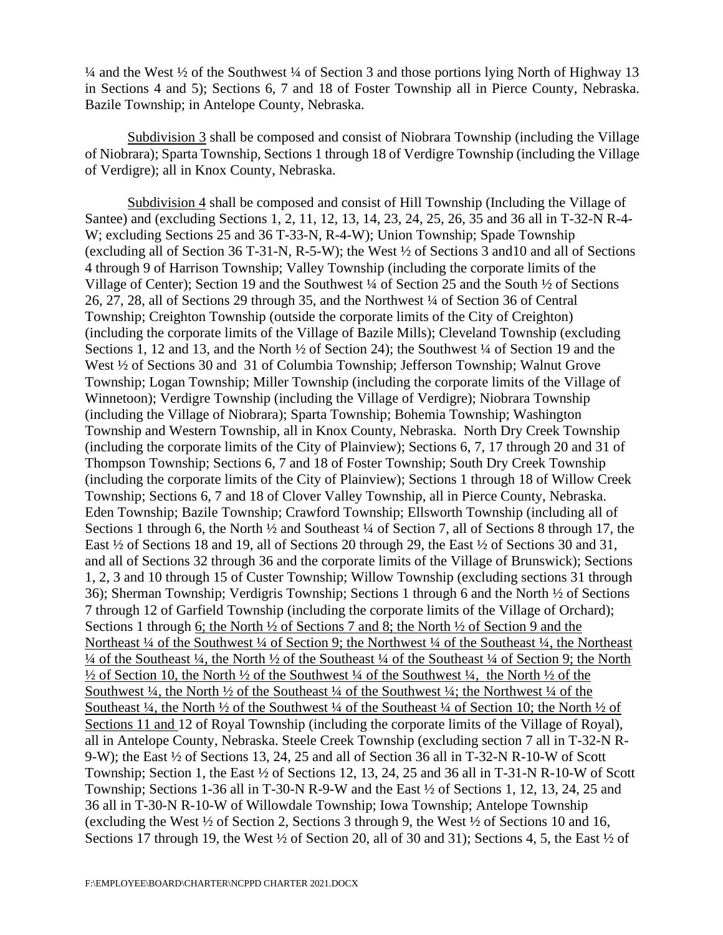¼ and the West ½ of the Southwest ¼ of Section 3 and those portions lying North of Highway 13 in Sections 4 and 5); Sections 6, 7 and 18 of Foster Township all in Pierce County, Nebraska. Bazile Township; in Antelope County, Nebraska.

Subdivision 3 shall be composed and consist of Niobrara Township (including the Village of Niobrara); Sparta Township, Sections 1 through 18 of Verdigre Township (including the Village of Verdigre); all in Knox County, Nebraska.

Subdivision 4 shall be composed and consist of Hill Township (Including the Village of Santee) and (excluding Sections 1, 2, 11, 12, 13, 14, 23, 24, 25, 26, 35 and 36 all in T-32-N R-4- W; excluding Sections 25 and 36 T-33-N, R-4-W); Union Township; Spade Township (excluding all of Section 36 T-31-N, R-5-W); the West ½ of Sections 3 and10 and all of Sections 4 through 9 of Harrison Township; Valley Township (including the corporate limits of the Village of Center); Section 19 and the Southwest ¼ of Section 25 and the South ½ of Sections 26, 27, 28, all of Sections 29 through 35, and the Northwest ¼ of Section 36 of Central Township; Creighton Township (outside the corporate limits of the City of Creighton) (including the corporate limits of the Village of Bazile Mills); Cleveland Township (excluding Sections 1, 12 and 13, and the North  $\frac{1}{2}$  of Section 24); the Southwest  $\frac{1}{4}$  of Section 19 and the West  $\frac{1}{2}$  of Sections 30 and 31 of Columbia Township; Jefferson Township; Walnut Grove Township; Logan Township; Miller Township (including the corporate limits of the Village of Winnetoon); Verdigre Township (including the Village of Verdigre); Niobrara Township (including the Village of Niobrara); Sparta Township; Bohemia Township; Washington Township and Western Township, all in Knox County, Nebraska. North Dry Creek Township (including the corporate limits of the City of Plainview); Sections 6, 7, 17 through 20 and 31 of Thompson Township; Sections 6, 7 and 18 of Foster Township; South Dry Creek Township (including the corporate limits of the City of Plainview); Sections 1 through 18 of Willow Creek Township; Sections 6, 7 and 18 of Clover Valley Township, all in Pierce County, Nebraska. Eden Township; Bazile Township; Crawford Township; Ellsworth Township (including all of Sections 1 through 6, the North  $\frac{1}{2}$  and Southeast  $\frac{1}{4}$  of Section 7, all of Sections 8 through 17, the East ½ of Sections 18 and 19, all of Sections 20 through 29, the East ½ of Sections 30 and 31, and all of Sections 32 through 36 and the corporate limits of the Village of Brunswick); Sections 1, 2, 3 and 10 through 15 of Custer Township; Willow Township (excluding sections 31 through 36); Sherman Township; Verdigris Township; Sections 1 through 6 and the North ½ of Sections 7 through 12 of Garfield Township (including the corporate limits of the Village of Orchard); Sections 1 through 6; the North ½ of Sections 7 and 8; the North ½ of Section 9 and the Northeast <sup>1</sup>/4 of the Southwest <sup>1</sup>/4 of Section 9; the Northwest <sup>1</sup>/4 of the Southeast <sup>1</sup>/4, the Northeast ¼ of the Southeast ¼, the North ½ of the Southeast ¼ of the Southeast ¼ of Section 9; the North  $\frac{1}{2}$  of Section 10, the North  $\frac{1}{2}$  of the Southwest  $\frac{1}{4}$  of the Southwest  $\frac{1}{4}$ , the North  $\frac{1}{2}$  of the Southwest  $\frac{1}{4}$ , the North  $\frac{1}{2}$  of the Southeast  $\frac{1}{4}$  of the Southwest  $\frac{1}{4}$ ; the Northwest  $\frac{1}{4}$  of the Southeast  $\frac{1}{4}$ , the North  $\frac{1}{2}$  of the Southwest  $\frac{1}{4}$  of the Southeast  $\frac{1}{4}$  of Section 10; the North  $\frac{1}{2}$  of Sections 11 and 12 of Royal Township (including the corporate limits of the Village of Royal), all in Antelope County, Nebraska. Steele Creek Township (excluding section 7 all in T-32-N R-9-W); the East ½ of Sections 13, 24, 25 and all of Section 36 all in T-32-N R-10-W of Scott Township; Section 1, the East ½ of Sections 12, 13, 24, 25 and 36 all in T-31-N R-10-W of Scott Township; Sections 1-36 all in T-30-N R-9-W and the East ½ of Sections 1, 12, 13, 24, 25 and 36 all in T-30-N R-10-W of Willowdale Township; Iowa Township; Antelope Township (excluding the West ½ of Section 2, Sections 3 through 9, the West ½ of Sections 10 and 16, Sections 17 through 19, the West ½ of Section 20, all of 30 and 31); Sections 4, 5, the East ½ of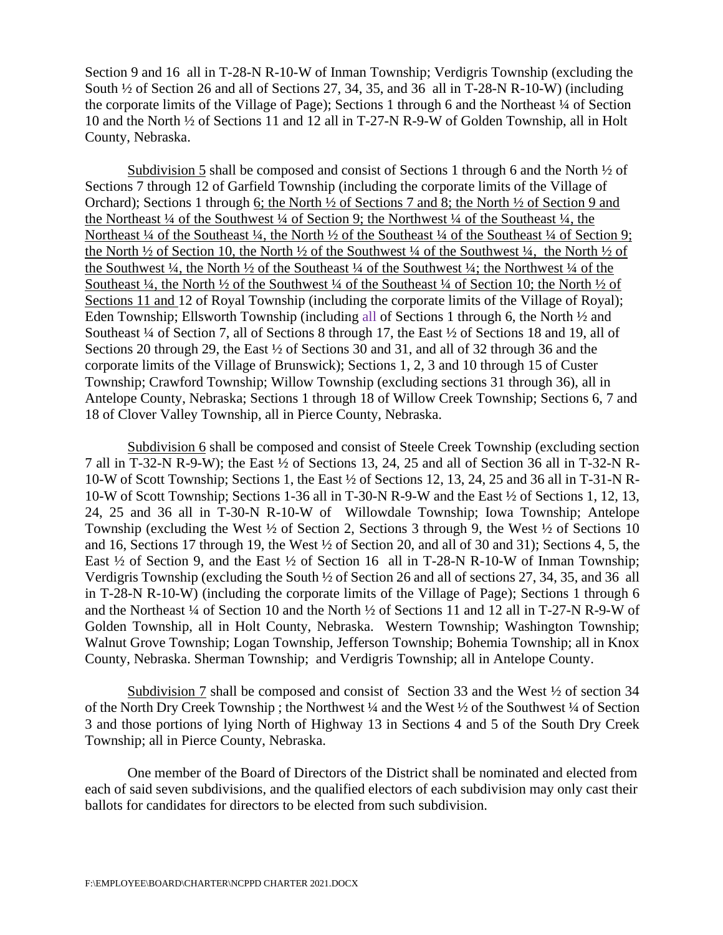Section 9 and 16 all in T-28-N R-10-W of Inman Township; Verdigris Township (excluding the South ½ of Section 26 and all of Sections 27, 34, 35, and 36 all in T-28-N R-10-W) (including the corporate limits of the Village of Page); Sections 1 through 6 and the Northeast ¼ of Section 10 and the North ½ of Sections 11 and 12 all in T-27-N R-9-W of Golden Township, all in Holt County, Nebraska.

Subdivision 5 shall be composed and consist of Sections 1 through 6 and the North  $\frac{1}{2}$  of Sections 7 through 12 of Garfield Township (including the corporate limits of the Village of Orchard); Sections 1 through 6; the North ½ of Sections 7 and 8; the North ½ of Section 9 and the Northeast ¼ of the Southwest ¼ of Section 9; the Northwest ¼ of the Southeast ¼, the Northeast ¼ of the Southeast ¼, the North ½ of the Southeast ¼ of the Southeast ¼ of Section 9; the North  $\frac{1}{2}$  of Section 10, the North  $\frac{1}{2}$  of the Southwest  $\frac{1}{4}$  of the Southwest  $\frac{1}{4}$ , the North  $\frac{1}{2}$  of the Southwest  $\frac{1}{4}$ , the North  $\frac{1}{2}$  of the Southeast  $\frac{1}{4}$  of the Southwest  $\frac{1}{4}$ ; the Northwest  $\frac{1}{4}$  of the Southeast  $\frac{1}{4}$ , the North  $\frac{1}{2}$  of the Southwest  $\frac{1}{4}$  of the Southeast  $\frac{1}{4}$  of Section 10; the North  $\frac{1}{2}$  of Sections 11 and 12 of Royal Township (including the corporate limits of the Village of Royal); Eden Township; Ellsworth Township (including all of Sections 1 through 6, the North ½ and Southeast ¼ of Section 7, all of Sections 8 through 17, the East ½ of Sections 18 and 19, all of Sections 20 through 29, the East  $\frac{1}{2}$  of Sections 30 and 31, and all of 32 through 36 and the corporate limits of the Village of Brunswick); Sections 1, 2, 3 and 10 through 15 of Custer Township; Crawford Township; Willow Township (excluding sections 31 through 36), all in Antelope County, Nebraska; Sections 1 through 18 of Willow Creek Township; Sections 6, 7 and 18 of Clover Valley Township, all in Pierce County, Nebraska.

Subdivision 6 shall be composed and consist of Steele Creek Township (excluding section 7 all in T-32-N R-9-W); the East ½ of Sections 13, 24, 25 and all of Section 36 all in T-32-N R-10-W of Scott Township; Sections 1, the East ½ of Sections 12, 13, 24, 25 and 36 all in T-31-N R-10-W of Scott Township; Sections 1-36 all in T-30-N R-9-W and the East ½ of Sections 1, 12, 13, 24, 25 and 36 all in T-30-N R-10-W of Willowdale Township; Iowa Township; Antelope Township (excluding the West ½ of Section 2, Sections 3 through 9, the West ½ of Sections 10 and 16, Sections 17 through 19, the West ½ of Section 20, and all of 30 and 31); Sections 4, 5, the East ½ of Section 9, and the East ½ of Section 16 all in T-28-N R-10-W of Inman Township; Verdigris Township (excluding the South ½ of Section 26 and all of sections 27, 34, 35, and 36 all in T-28-N R-10-W) (including the corporate limits of the Village of Page); Sections 1 through 6 and the Northeast  $\frac{1}{4}$  of Section 10 and the North  $\frac{1}{2}$  of Sections 11 and 12 all in T-27-N R-9-W of Golden Township, all in Holt County, Nebraska. Western Township; Washington Township; Walnut Grove Township; Logan Township, Jefferson Township; Bohemia Township; all in Knox County, Nebraska. Sherman Township; and Verdigris Township; all in Antelope County.

Subdivision 7 shall be composed and consist of Section 33 and the West  $\frac{1}{2}$  of section 34 of the North Dry Creek Township ; the Northwest ¼ and the West ½ of the Southwest ¼ of Section 3 and those portions of lying North of Highway 13 in Sections 4 and 5 of the South Dry Creek Township; all in Pierce County, Nebraska.

One member of the Board of Directors of the District shall be nominated and elected from each of said seven subdivisions, and the qualified electors of each subdivision may only cast their ballots for candidates for directors to be elected from such subdivision.